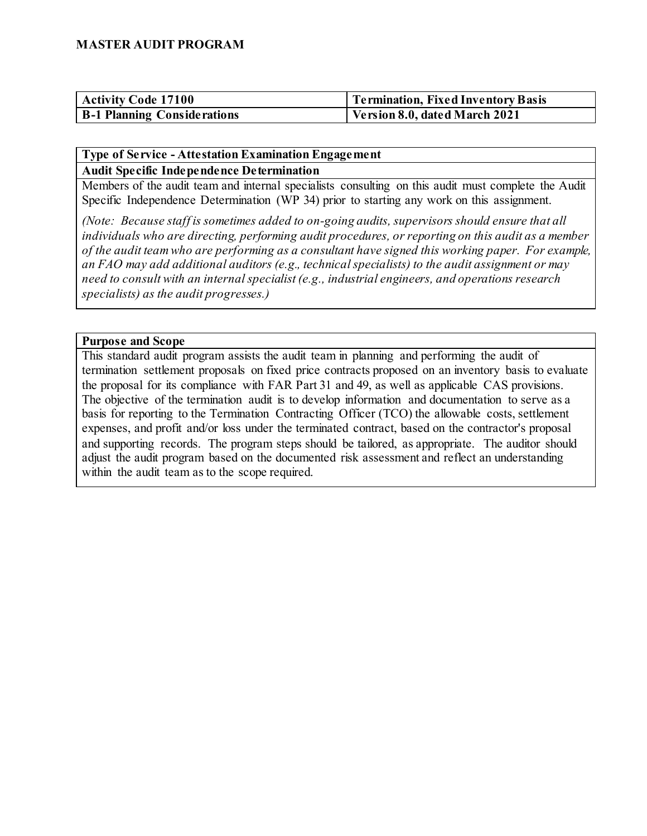| <b>Activity Code 17100</b>         | Termination, Fixed Inventory Basis |
|------------------------------------|------------------------------------|
| <b>B-1 Planning Considerations</b> | Version 8.0, dated March 2021      |

#### **Type of Service - Attestation Examination Engagement Audit Specific Independence Determination**

Members of the audit team and internal specialists consulting on this audit must complete the Audit Specific Independence Determination (WP 34) prior to starting any work on this assignment.

*(Note: Because staff is sometimes added to on-going audits, supervisors should ensure that all individuals who are directing, performing audit procedures, or reporting on this audit as a member of the audit team who are performing as a consultant have signed this working paper. For example, an FAO may add additional auditors (e.g., technical specialists) to the audit assignment or may need to consult with an internal specialist (e.g., industrial engineers, and operations research specialists) as the audit progresses.)*

#### **Purpose and Scope**

This standard audit program assists the audit team in planning and performing the audit of termination settlement proposals on fixed price contracts proposed on an inventory basis to evaluate the proposal for its compliance with FAR Part 31 and 49, as well as applicable CAS provisions. The objective of the termination audit is to develop information and documentation to serve as a basis for reporting to the Termination Contracting Officer (TCO) the allowable costs, settlement expenses, and profit and/or loss under the terminated contract, based on the contractor's proposal and supporting records. The program steps should be tailored, as appropriate. The auditor should adjust the audit program based on the documented risk assessment and reflect an understanding within the audit team as to the scope required.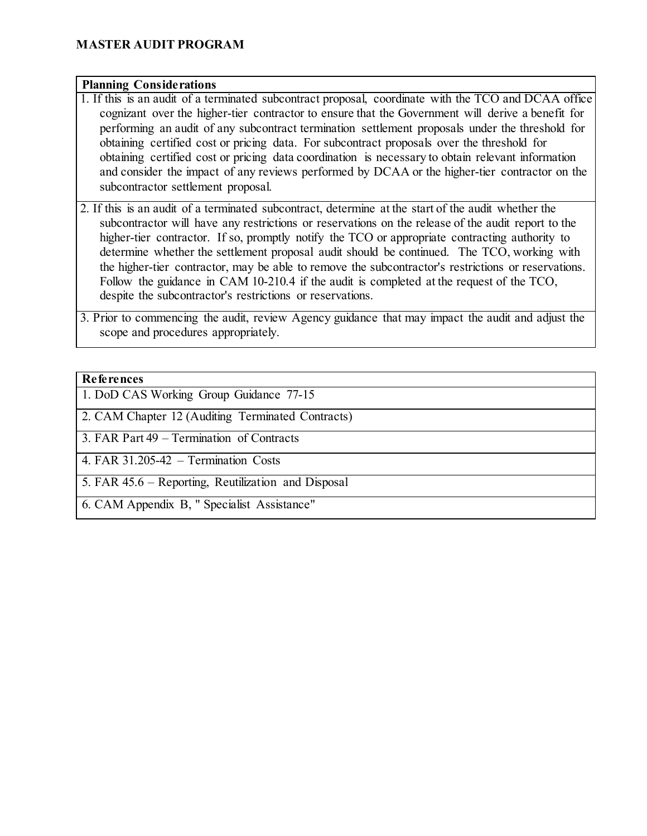#### **Planning Considerations**

1. If this is an audit of a terminated subcontract proposal, coordinate with the TCO and DCAA office cognizant over the higher-tier contractor to ensure that the Government will derive a benefit for performing an audit of any subcontract termination settlement proposals under the threshold for obtaining certified cost or pricing data. For subcontract proposals over the threshold for obtaining certified cost or pricing data coordination is necessary to obtain relevant information and consider the impact of any reviews performed by DCAA or the higher-tier contractor on the subcontractor settlement proposal.

2. If this is an audit of a terminated subcontract, determine at the start of the audit whether the subcontractor will have any restrictions or reservations on the release of the audit report to the higher-tier contractor. If so, promptly notify the TCO or appropriate contracting authority to determine whether the settlement proposal audit should be continued. The TCO, working with the higher-tier contractor, may be able to remove the subcontractor's restrictions or reservations. Follow the guidance in CAM 10-210.4 if the audit is completed at the request of the TCO, despite the subcontractor's restrictions or reservations.

3. Prior to commencing the audit, review Agency guidance that may impact the audit and adjust the scope and procedures appropriately.

#### **References**

1. DoD CAS Working Group Guidance 77-15

2. CAM Chapter 12 (Auditing Terminated Contracts)

3. FAR Part 49 – Termination of Contracts

4. FAR 31.205-42 – Termination Costs

5. FAR 45.6 – Reporting, Reutilization and Disposal

6. CAM Appendix B, " Specialist Assistance"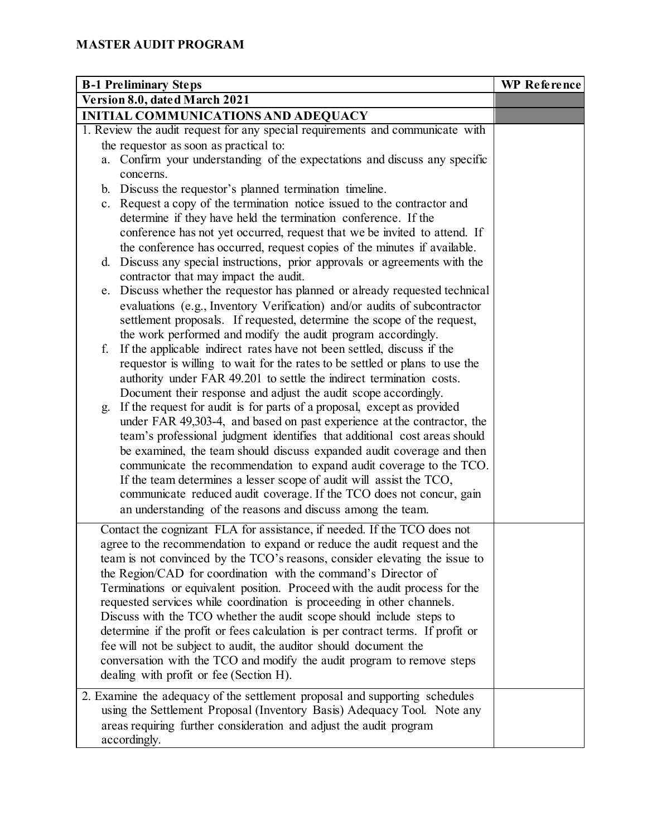| <b>B-1 Preliminary Steps</b>                                                    | <b>WP</b> Reference |
|---------------------------------------------------------------------------------|---------------------|
| Version 8.0, dated March 2021                                                   |                     |
| <b>INITIAL COMMUNICATIONS AND ADEQUACY</b>                                      |                     |
| 1. Review the audit request for any special requirements and communicate with   |                     |
| the requestor as soon as practical to:                                          |                     |
| a. Confirm your understanding of the expectations and discuss any specific      |                     |
| concerns.                                                                       |                     |
| b. Discuss the requestor's planned termination timeline.                        |                     |
| c. Request a copy of the termination notice issued to the contractor and        |                     |
| determine if they have held the termination conference. If the                  |                     |
| conference has not yet occurred, request that we be invited to attend. If       |                     |
| the conference has occurred, request copies of the minutes if available.        |                     |
| Discuss any special instructions, prior approvals or agreements with the<br>d.  |                     |
| contractor that may impact the audit.                                           |                     |
| e. Discuss whether the requestor has planned or already requested technical     |                     |
| evaluations (e.g., Inventory Verification) and/or audits of subcontractor       |                     |
| settlement proposals. If requested, determine the scope of the request,         |                     |
| the work performed and modify the audit program accordingly.                    |                     |
| If the applicable indirect rates have not been settled, discuss if the<br>f.    |                     |
| requestor is willing to wait for the rates to be settled or plans to use the    |                     |
| authority under FAR 49.201 to settle the indirect termination costs.            |                     |
| Document their response and adjust the audit scope accordingly.                 |                     |
| If the request for audit is for parts of a proposal, except as provided<br>g.   |                     |
| under FAR 49,303-4, and based on past experience at the contractor, the         |                     |
| team's professional judgment identifies that additional cost areas should       |                     |
| be examined, the team should discuss expanded audit coverage and then           |                     |
| communicate the recommendation to expand audit coverage to the TCO.             |                     |
| If the team determines a lesser scope of audit will assist the TCO,             |                     |
| communicate reduced audit coverage. If the TCO does not concur, gain            |                     |
| an understanding of the reasons and discuss among the team.                     |                     |
| Contact the cognizant FLA for assistance, if needed. If the TCO does not        |                     |
| agree to the recommendation to expand or reduce the audit request and the       |                     |
| team is not convinced by the TCO's reasons, consider elevating the issue to     |                     |
| the Region/CAD for coordination with the command's Director of                  |                     |
| Terminations or equivalent position. Proceed with the audit process for the     |                     |
| requested services while coordination is proceeding in other channels.          |                     |
| Discuss with the TCO whether the audit scope should include steps to            |                     |
| determine if the profit or fees calculation is per contract terms. If profit or |                     |
| fee will not be subject to audit, the auditor should document the               |                     |
| conversation with the TCO and modify the audit program to remove steps          |                     |
| dealing with profit or fee (Section H).                                         |                     |
| 2. Examine the adequacy of the settlement proposal and supporting schedules     |                     |
| using the Settlement Proposal (Inventory Basis) Adequacy Tool. Note any         |                     |
| areas requiring further consideration and adjust the audit program              |                     |
| accordingly.                                                                    |                     |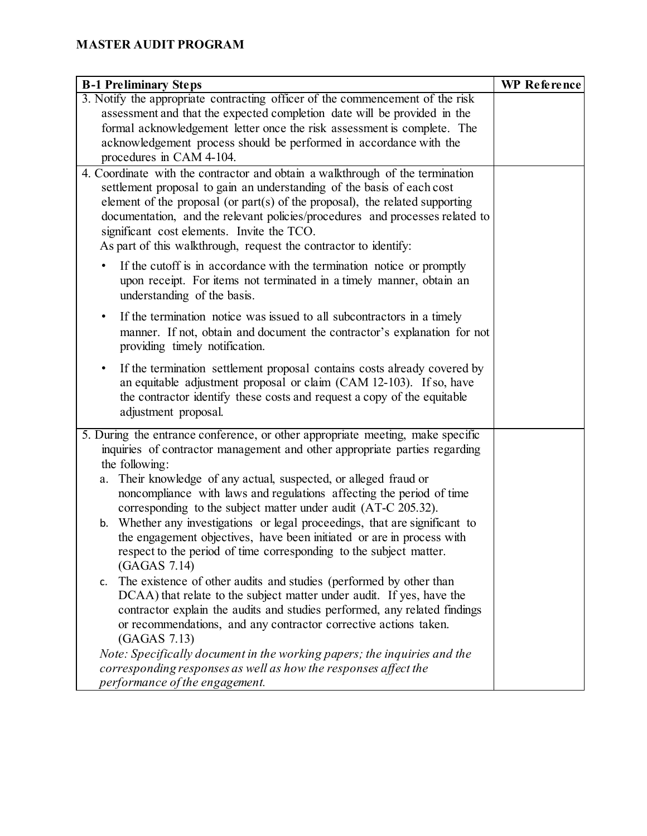| <b>B-1 Preliminary Steps</b>                                                                                                                                                                                                                                                                                                                                                                                                              | <b>WP Reference</b> |
|-------------------------------------------------------------------------------------------------------------------------------------------------------------------------------------------------------------------------------------------------------------------------------------------------------------------------------------------------------------------------------------------------------------------------------------------|---------------------|
| 3. Notify the appropriate contracting officer of the commencement of the risk                                                                                                                                                                                                                                                                                                                                                             |                     |
| assessment and that the expected completion date will be provided in the                                                                                                                                                                                                                                                                                                                                                                  |                     |
| formal acknowledgement letter once the risk assessment is complete. The                                                                                                                                                                                                                                                                                                                                                                   |                     |
| acknowledgement process should be performed in accordance with the                                                                                                                                                                                                                                                                                                                                                                        |                     |
| procedures in CAM 4-104.                                                                                                                                                                                                                                                                                                                                                                                                                  |                     |
| 4. Coordinate with the contractor and obtain a walkthrough of the termination<br>settlement proposal to gain an understanding of the basis of each cost<br>element of the proposal (or part(s) of the proposal), the related supporting<br>documentation, and the relevant policies/procedures and processes related to<br>significant cost elements. Invite the TCO.<br>As part of this walkthrough, request the contractor to identify: |                     |
| If the cutoff is in accordance with the termination notice or promptly<br>upon receipt. For items not terminated in a timely manner, obtain an<br>understanding of the basis.                                                                                                                                                                                                                                                             |                     |
| If the termination notice was issued to all subcontractors in a timely<br>٠<br>manner. If not, obtain and document the contractor's explanation for not<br>providing timely notification.                                                                                                                                                                                                                                                 |                     |
| If the termination settlement proposal contains costs already covered by<br>٠<br>an equitable adjustment proposal or claim (CAM 12-103). If so, have<br>the contractor identify these costs and request a copy of the equitable<br>adjustment proposal.                                                                                                                                                                                   |                     |
| 5. During the entrance conference, or other appropriate meeting, make specific                                                                                                                                                                                                                                                                                                                                                            |                     |
| inquiries of contractor management and other appropriate parties regarding                                                                                                                                                                                                                                                                                                                                                                |                     |
| the following:                                                                                                                                                                                                                                                                                                                                                                                                                            |                     |
| Their knowledge of any actual, suspected, or alleged fraud or<br>a.<br>noncompliance with laws and regulations affecting the period of time<br>corresponding to the subject matter under audit (AT-C 205.32).                                                                                                                                                                                                                             |                     |
| Whether any investigations or legal proceedings, that are significant to<br>b.<br>the engagement objectives, have been initiated or are in process with<br>respect to the period of time corresponding to the subject matter.<br>(GAGAS 7.14)                                                                                                                                                                                             |                     |
| The existence of other audits and studies (performed by other than<br>c.<br>DCAA) that relate to the subject matter under audit. If yes, have the<br>contractor explain the audits and studies performed, any related findings<br>or recommendations, and any contractor corrective actions taken.<br>(GAGAS 7.13)                                                                                                                        |                     |
| Note: Specifically document in the working papers; the inquiries and the                                                                                                                                                                                                                                                                                                                                                                  |                     |
| corresponding responses as well as how the responses affect the                                                                                                                                                                                                                                                                                                                                                                           |                     |
| performance of the engagement.                                                                                                                                                                                                                                                                                                                                                                                                            |                     |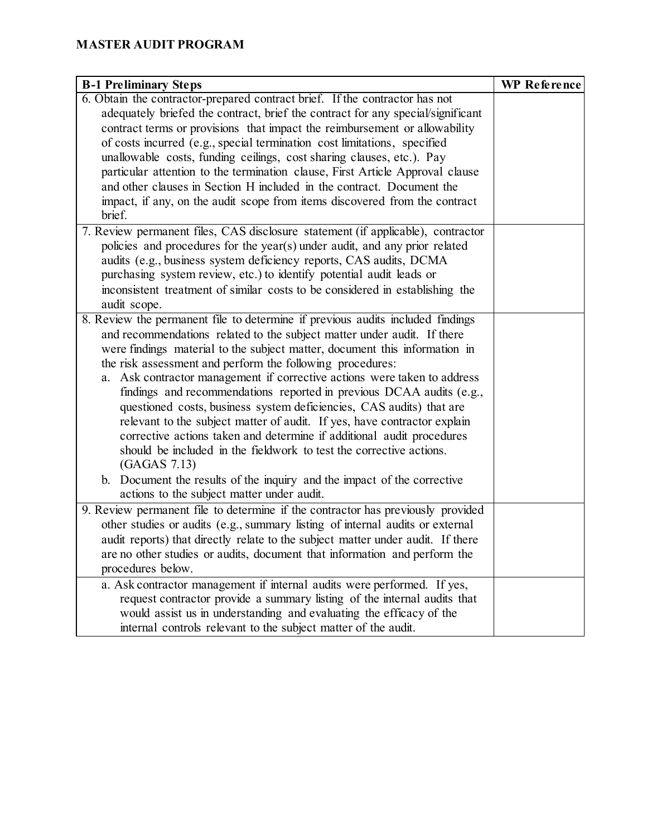| <b>B-1 Preliminary Steps</b>                                                    | <b>WP</b> Reference |
|---------------------------------------------------------------------------------|---------------------|
| 6. Obtain the contractor-prepared contract brief. If the contractor has not     |                     |
| adequately briefed the contract, brief the contract for any special/significant |                     |
| contract terms or provisions that impact the reimbursement or allowability      |                     |
| of costs incurred (e.g., special termination cost limitations, specified        |                     |
| unallowable costs, funding ceilings, cost sharing clauses, etc.). Pay           |                     |
| particular attention to the termination clause, First Article Approval clause   |                     |
| and other clauses in Section H included in the contract. Document the           |                     |
| impact, if any, on the audit scope from items discovered from the contract      |                     |
| brief.                                                                          |                     |
| 7. Review permanent files, CAS disclosure statement (if applicable), contractor |                     |
| policies and procedures for the year(s) under audit, and any prior related      |                     |
| audits (e.g., business system deficiency reports, CAS audits, DCMA              |                     |
| purchasing system review, etc.) to identify potential audit leads or            |                     |
| inconsistent treatment of similar costs to be considered in establishing the    |                     |
| audit scope.                                                                    |                     |
| 8. Review the permanent file to determine if previous audits included findings  |                     |
| and recommendations related to the subject matter under audit. If there         |                     |
| were findings material to the subject matter, document this information in      |                     |
| the risk assessment and perform the following procedures:                       |                     |
| a. Ask contractor management if corrective actions were taken to address        |                     |
| findings and recommendations reported in previous DCAA audits (e.g.,            |                     |
| questioned costs, business system deficiencies, CAS audits) that are            |                     |
| relevant to the subject matter of audit. If yes, have contractor explain        |                     |
| corrective actions taken and determine if additional audit procedures           |                     |
| should be included in the fieldwork to test the corrective actions.             |                     |
| (GAGAS 7.13)                                                                    |                     |
| b. Document the results of the inquiry and the impact of the corrective         |                     |
| actions to the subject matter under audit.                                      |                     |
| 9. Review permanent file to determine if the contractor has previously provided |                     |
| other studies or audits (e.g., summary listing of internal audits or external   |                     |
| audit reports) that directly relate to the subject matter under audit. If there |                     |
| are no other studies or audits, document that information and perform the       |                     |
| procedures below.                                                               |                     |
| a. Ask contractor management if internal audits were performed. If yes,         |                     |
| request contractor provide a summary listing of the internal audits that        |                     |
| would assist us in understanding and evaluating the efficacy of the             |                     |
| internal controls relevant to the subject matter of the audit.                  |                     |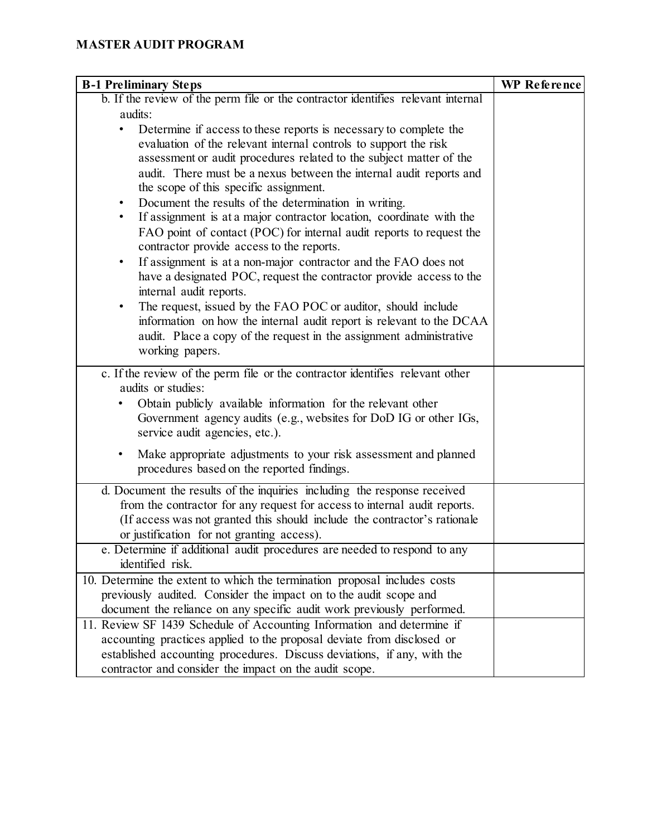| <b>B-1 Preliminary Steps</b>                                                                                                                                                                                                                                                                                                                                                                                                                                                                                                                                                                                                                                                                                                                    | <b>WP Reference</b> |
|-------------------------------------------------------------------------------------------------------------------------------------------------------------------------------------------------------------------------------------------------------------------------------------------------------------------------------------------------------------------------------------------------------------------------------------------------------------------------------------------------------------------------------------------------------------------------------------------------------------------------------------------------------------------------------------------------------------------------------------------------|---------------------|
| b. If the review of the perm file or the contractor identifies relevant internal                                                                                                                                                                                                                                                                                                                                                                                                                                                                                                                                                                                                                                                                |                     |
| audits:                                                                                                                                                                                                                                                                                                                                                                                                                                                                                                                                                                                                                                                                                                                                         |                     |
| Determine if access to these reports is necessary to complete the<br>evaluation of the relevant internal controls to support the risk<br>assessment or audit procedures related to the subject matter of the<br>audit. There must be a nexus between the internal audit reports and<br>the scope of this specific assignment.<br>Document the results of the determination in writing.<br>If assignment is at a major contractor location, coordinate with the<br>٠<br>FAO point of contact (POC) for internal audit reports to request the<br>contractor provide access to the reports.<br>If assignment is at a non-major contractor and the FAO does not<br>$\bullet$<br>have a designated POC, request the contractor provide access to the |                     |
| internal audit reports.<br>The request, issued by the FAO POC or auditor, should include<br>٠<br>information on how the internal audit report is relevant to the DCAA<br>audit. Place a copy of the request in the assignment administrative<br>working papers.                                                                                                                                                                                                                                                                                                                                                                                                                                                                                 |                     |
| c. If the review of the perm file or the contractor identifies relevant other                                                                                                                                                                                                                                                                                                                                                                                                                                                                                                                                                                                                                                                                   |                     |
| audits or studies:<br>Obtain publicly available information for the relevant other<br>Government agency audits (e.g., websites for DoD IG or other IGs,<br>service audit agencies, etc.).                                                                                                                                                                                                                                                                                                                                                                                                                                                                                                                                                       |                     |
| Make appropriate adjustments to your risk assessment and planned<br>$\bullet$<br>procedures based on the reported findings.                                                                                                                                                                                                                                                                                                                                                                                                                                                                                                                                                                                                                     |                     |
| d. Document the results of the inquiries including the response received<br>from the contractor for any request for access to internal audit reports.<br>(If access was not granted this should include the contractor's rationale<br>or justification for not granting access).                                                                                                                                                                                                                                                                                                                                                                                                                                                                |                     |
| e. Determine if additional audit procedures are needed to respond to any<br>identified risk.                                                                                                                                                                                                                                                                                                                                                                                                                                                                                                                                                                                                                                                    |                     |
| 10. Determine the extent to which the termination proposal includes costs<br>previously audited. Consider the impact on to the audit scope and<br>document the reliance on any specific audit work previously performed.                                                                                                                                                                                                                                                                                                                                                                                                                                                                                                                        |                     |
| 11. Review SF 1439 Schedule of Accounting Information and determine if<br>accounting practices applied to the proposal deviate from disclosed or<br>established accounting procedures. Discuss deviations, if any, with the<br>contractor and consider the impact on the audit scope.                                                                                                                                                                                                                                                                                                                                                                                                                                                           |                     |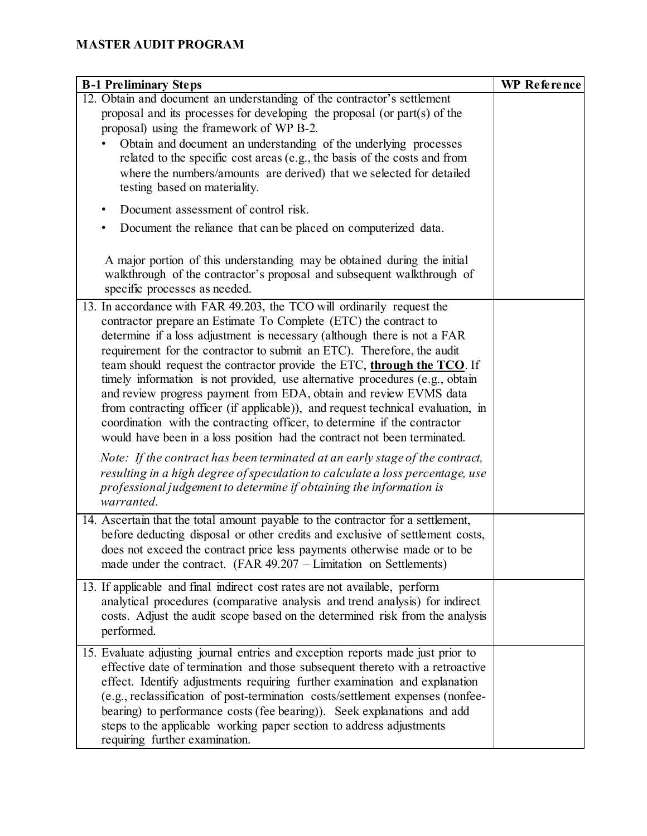| <b>B-1 Preliminary Steps</b>                                                                                                                                                                                                                                                                                                                                                                                                                                                                                                                                                                                                                                                                                                                                                 | <b>WP Reference</b> |
|------------------------------------------------------------------------------------------------------------------------------------------------------------------------------------------------------------------------------------------------------------------------------------------------------------------------------------------------------------------------------------------------------------------------------------------------------------------------------------------------------------------------------------------------------------------------------------------------------------------------------------------------------------------------------------------------------------------------------------------------------------------------------|---------------------|
| 12. Obtain and document an understanding of the contractor's settlement<br>proposal and its processes for developing the proposal (or part(s) of the<br>proposal) using the framework of WP B-2.<br>Obtain and document an understanding of the underlying processes<br>related to the specific cost areas (e.g., the basis of the costs and from<br>where the numbers/amounts are derived) that we selected for detailed<br>testing based on materiality.                                                                                                                                                                                                                                                                                                                   |                     |
| Document assessment of control risk.<br>٠                                                                                                                                                                                                                                                                                                                                                                                                                                                                                                                                                                                                                                                                                                                                    |                     |
| Document the reliance that can be placed on computerized data.                                                                                                                                                                                                                                                                                                                                                                                                                                                                                                                                                                                                                                                                                                               |                     |
| A major portion of this understanding may be obtained during the initial<br>walkthrough of the contractor's proposal and subsequent walkthrough of<br>specific processes as needed.                                                                                                                                                                                                                                                                                                                                                                                                                                                                                                                                                                                          |                     |
| 13. In accordance with FAR 49.203, the TCO will ordinarily request the<br>contractor prepare an Estimate To Complete (ETC) the contract to<br>determine if a loss adjustment is necessary (although there is not a FAR<br>requirement for the contractor to submit an ETC). Therefore, the audit<br>team should request the contractor provide the ETC, through the TCO. If<br>timely information is not provided, use alternative procedures (e.g., obtain<br>and review progress payment from EDA, obtain and review EVMS data<br>from contracting officer (if applicable)), and request technical evaluation, in<br>coordination with the contracting officer, to determine if the contractor<br>would have been in a loss position had the contract not been terminated. |                     |
| Note: If the contract has been terminated at an early stage of the contract,<br>resulting in a high degree of speculation to calculate a loss percentage, use<br>professional judgement to determine if obtaining the information is<br>warranted.                                                                                                                                                                                                                                                                                                                                                                                                                                                                                                                           |                     |
| 14. Ascertain that the total amount payable to the contractor for a settlement,<br>before deducting disposal or other credits and exclusive of settlement costs,<br>does not exceed the contract price less payments otherwise made or to be<br>made under the contract. $(FAR 49.207 - Limitation on Settlements)$                                                                                                                                                                                                                                                                                                                                                                                                                                                          |                     |
| 13. If applicable and final indirect cost rates are not available, perform<br>analytical procedures (comparative analysis and trend analysis) for indirect<br>costs. Adjust the audit scope based on the determined risk from the analysis<br>performed.                                                                                                                                                                                                                                                                                                                                                                                                                                                                                                                     |                     |
| 15. Evaluate adjusting journal entries and exception reports made just prior to<br>effective date of termination and those subsequent thereto with a retroactive<br>effect. Identify adjustments requiring further examination and explanation<br>(e.g., reclassification of post-termination costs/settlement expenses (nonfee-<br>bearing) to performance costs (fee bearing)). Seek explanations and add<br>steps to the applicable working paper section to address adjustments<br>requiring further examination.                                                                                                                                                                                                                                                        |                     |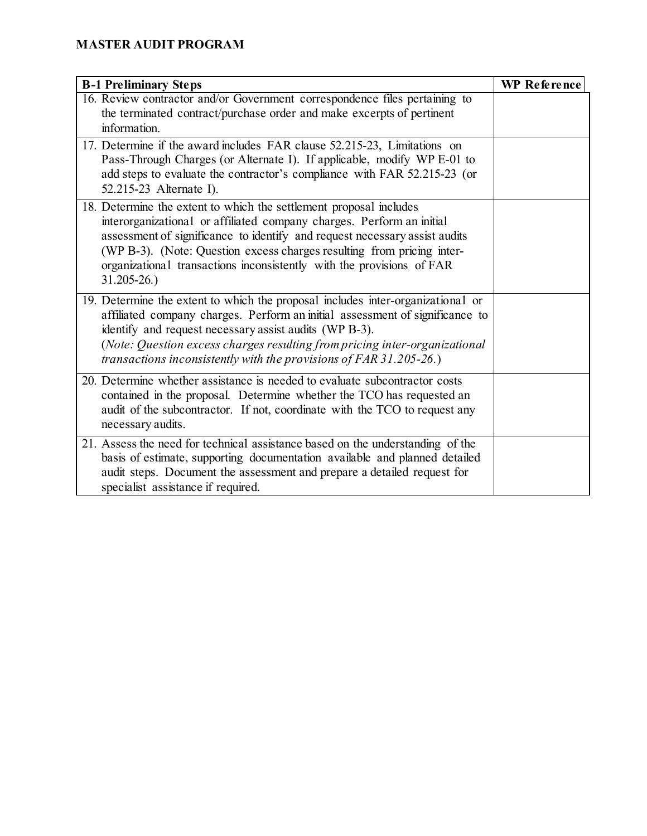| <b>B-1 Preliminary Steps</b>                                                                                                                                                                                                                                                                                                                                                                   | <b>WP</b> Reference |
|------------------------------------------------------------------------------------------------------------------------------------------------------------------------------------------------------------------------------------------------------------------------------------------------------------------------------------------------------------------------------------------------|---------------------|
| 16. Review contractor and/or Government correspondence files pertaining to                                                                                                                                                                                                                                                                                                                     |                     |
| the terminated contract/purchase order and make excerpts of pertinent                                                                                                                                                                                                                                                                                                                          |                     |
| information.                                                                                                                                                                                                                                                                                                                                                                                   |                     |
| 17. Determine if the award includes FAR clause 52.215-23, Limitations on<br>Pass-Through Charges (or Alternate I). If applicable, modify WP E-01 to<br>add steps to evaluate the contractor's compliance with FAR 52.215-23 (or<br>52.215-23 Alternate I).                                                                                                                                     |                     |
| 18. Determine the extent to which the settlement proposal includes<br>interorganizational or affiliated company charges. Perform an initial<br>assessment of significance to identify and request necessary assist audits<br>(WP B-3). (Note: Question excess charges resulting from pricing inter-<br>organizational transactions inconsistently with the provisions of FAR<br>$31.205 - 26.$ |                     |
| 19. Determine the extent to which the proposal includes inter-organizational or<br>affiliated company charges. Perform an initial assessment of significance to<br>identify and request necessary assist audits (WP B-3).<br>(Note: Question excess charges resulting from pricing inter-organizational<br>transactions inconsistently with the provisions of $FAR 31.205-26$ .)               |                     |
| 20. Determine whether assistance is needed to evaluate subcontractor costs<br>contained in the proposal. Determine whether the TCO has requested an<br>audit of the subcontractor. If not, coordinate with the TCO to request any<br>necessary audits.                                                                                                                                         |                     |
| 21. Assess the need for technical assistance based on the understanding of the<br>basis of estimate, supporting documentation available and planned detailed<br>audit steps. Document the assessment and prepare a detailed request for<br>specialist assistance if required.                                                                                                                  |                     |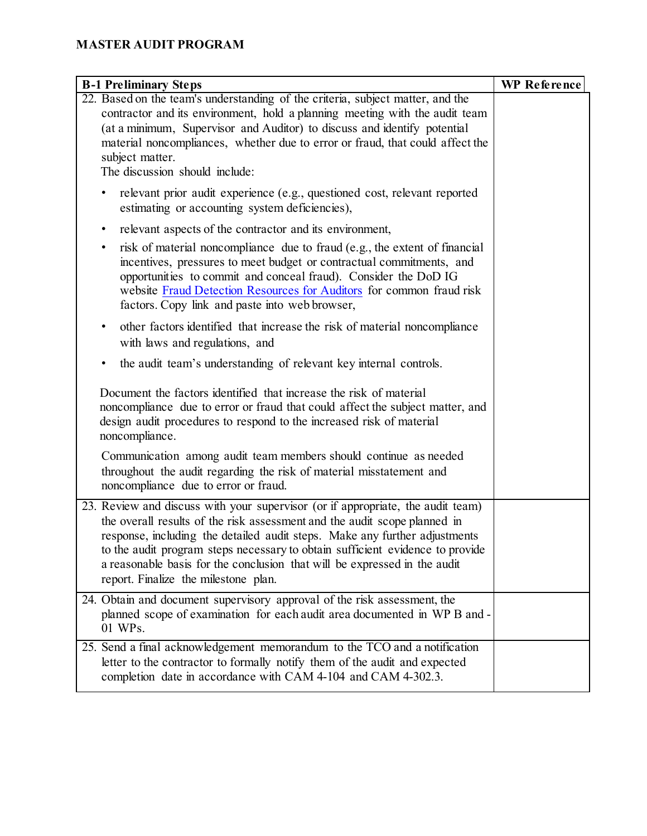| <b>B-1 Preliminary Steps</b>                                                                                                                                                                                                                                                                                                                                                                                                                     | <b>WP Reference</b> |
|--------------------------------------------------------------------------------------------------------------------------------------------------------------------------------------------------------------------------------------------------------------------------------------------------------------------------------------------------------------------------------------------------------------------------------------------------|---------------------|
| 22. Based on the team's understanding of the criteria, subject matter, and the<br>contractor and its environment, hold a planning meeting with the audit team<br>(at a minimum, Supervisor and Auditor) to discuss and identify potential<br>material noncompliances, whether due to error or fraud, that could affect the<br>subject matter.<br>The discussion should include:                                                                  |                     |
| relevant prior audit experience (e.g., questioned cost, relevant reported<br>$\bullet$<br>estimating or accounting system deficiencies),                                                                                                                                                                                                                                                                                                         |                     |
| relevant aspects of the contractor and its environment,<br>٠                                                                                                                                                                                                                                                                                                                                                                                     |                     |
| risk of material noncompliance due to fraud (e.g., the extent of financial<br>٠<br>incentives, pressures to meet budget or contractual commitments, and<br>opportunities to commit and conceal fraud). Consider the DoD IG<br>website Fraud Detection Resources for Auditors for common fraud risk<br>factors. Copy link and paste into web browser,                                                                                             |                     |
| other factors identified that increase the risk of material noncompliance<br>$\bullet$                                                                                                                                                                                                                                                                                                                                                           |                     |
| with laws and regulations, and                                                                                                                                                                                                                                                                                                                                                                                                                   |                     |
| the audit team's understanding of relevant key internal controls.<br>٠                                                                                                                                                                                                                                                                                                                                                                           |                     |
| Document the factors identified that increase the risk of material<br>noncompliance due to error or fraud that could affect the subject matter, and<br>design audit procedures to respond to the increased risk of material<br>noncompliance.                                                                                                                                                                                                    |                     |
| Communication among audit team members should continue as needed<br>throughout the audit regarding the risk of material misstatement and<br>noncompliance due to error or fraud.                                                                                                                                                                                                                                                                 |                     |
| 23. Review and discuss with your supervisor (or if appropriate, the audit team)<br>the overall results of the risk assessment and the audit scope planned in<br>response, including the detailed audit steps. Make any further adjustments<br>to the audit program steps necessary to obtain sufficient evidence to provide<br>a reasonable basis for the conclusion that will be expressed in the audit<br>report. Finalize the milestone plan. |                     |
| 24. Obtain and document supervisory approval of the risk assessment, the<br>planned scope of examination for each audit area documented in WP B and -<br>01 WPs.                                                                                                                                                                                                                                                                                 |                     |
| 25. Send a final acknowledgement memorandum to the TCO and a notification<br>letter to the contractor to formally notify them of the audit and expected<br>completion date in accordance with CAM 4-104 and CAM 4-302.3.                                                                                                                                                                                                                         |                     |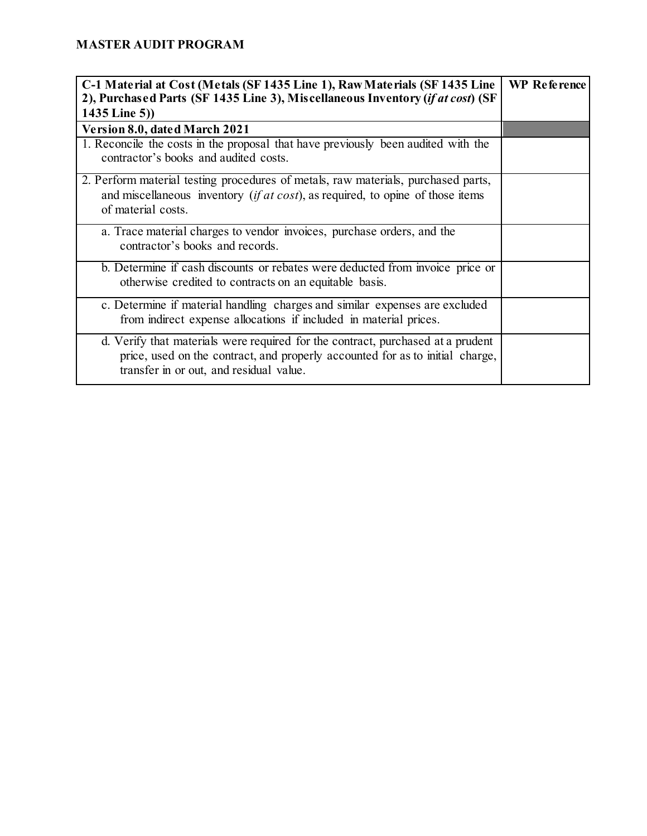| C-1 Material at Cost (Metals (SF 1435 Line 1), Raw Materials (SF 1435 Line<br>2), Purchased Parts (SF 1435 Line 3), Miscellaneous Inventory (if at cost) (SF                                                | <b>WP</b> Reference |
|-------------------------------------------------------------------------------------------------------------------------------------------------------------------------------------------------------------|---------------------|
| 1435 Line 5))                                                                                                                                                                                               |                     |
| Version 8.0, dated March 2021                                                                                                                                                                               |                     |
| 1. Reconcile the costs in the proposal that have previously been audited with the<br>contractor's books and audited costs.                                                                                  |                     |
| 2. Perform material testing procedures of metals, raw materials, purchased parts,<br>and miscellaneous inventory <i>(if at cost)</i> , as required, to opine of those items<br>of material costs.           |                     |
| a. Trace material charges to vendor invoices, purchase orders, and the<br>contractor's books and records.                                                                                                   |                     |
| b. Determine if cash discounts or rebates were deducted from invoice price or<br>otherwise credited to contracts on an equitable basis.                                                                     |                     |
| c. Determine if material handling charges and similar expenses are excluded<br>from indirect expense allocations if included in material prices.                                                            |                     |
| d. Verify that materials were required for the contract, purchased at a prudent<br>price, used on the contract, and properly accounted for as to initial charge,<br>transfer in or out, and residual value. |                     |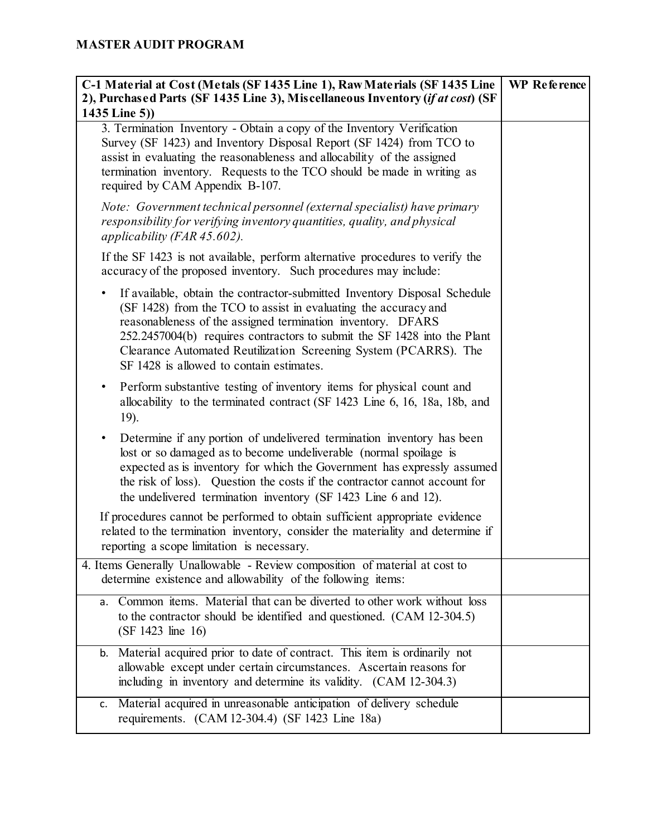| C-1 Material at Cost (Metals (SF 1435 Line 1), Raw Materials (SF 1435 Line<br>2), Purchased Parts (SF 1435 Line 3), Miscellaneous Inventory ( <i>if at cost</i> ) (SF                                                                                                                                                                                                                                        | <b>WP</b> Reference |
|--------------------------------------------------------------------------------------------------------------------------------------------------------------------------------------------------------------------------------------------------------------------------------------------------------------------------------------------------------------------------------------------------------------|---------------------|
| 1435 Line 5))                                                                                                                                                                                                                                                                                                                                                                                                |                     |
| 3. Termination Inventory - Obtain a copy of the Inventory Verification<br>Survey (SF 1423) and Inventory Disposal Report (SF 1424) from TCO to<br>assist in evaluating the reasonableness and allocability of the assigned<br>termination inventory. Requests to the TCO should be made in writing as<br>required by CAM Appendix B-107.                                                                     |                     |
| Note: Government technical personnel (external specialist) have primary<br>responsibility for verifying inventory quantities, quality, and physical<br>applicability (FAR $45.602$ ).                                                                                                                                                                                                                        |                     |
| If the SF 1423 is not available, perform alternative procedures to verify the<br>accuracy of the proposed inventory. Such procedures may include:                                                                                                                                                                                                                                                            |                     |
| If available, obtain the contractor-submitted Inventory Disposal Schedule<br>٠<br>(SF 1428) from the TCO to assist in evaluating the accuracy and<br>reasonableness of the assigned termination inventory. DFARS<br>252.2457004(b) requires contractors to submit the SF 1428 into the Plant<br>Clearance Automated Reutilization Screening System (PCARRS). The<br>SF 1428 is allowed to contain estimates. |                     |
| Perform substantive testing of inventory items for physical count and<br>٠<br>allocability to the terminated contract (SF 1423 Line 6, 16, 18a, 18b, and<br>19).                                                                                                                                                                                                                                             |                     |
| Determine if any portion of undelivered termination inventory has been<br>٠<br>lost or so damaged as to become undeliverable (normal spoilage is<br>expected as is inventory for which the Government has expressly assumed<br>the risk of loss). Question the costs if the contractor cannot account for<br>the undelivered termination inventory (SF 1423 Line 6 and 12).                                  |                     |
| If procedures cannot be performed to obtain sufficient appropriate evidence<br>related to the termination inventory, consider the materiality and determine if<br>reporting a scope limitation is necessary.                                                                                                                                                                                                 |                     |
| 4. Items Generally Unallowable - Review composition of material at cost to<br>determine existence and allowability of the following items:                                                                                                                                                                                                                                                                   |                     |
| Common items. Material that can be diverted to other work without loss<br>а.<br>to the contractor should be identified and questioned. (CAM 12-304.5)<br>(SF 1423 line 16)                                                                                                                                                                                                                                   |                     |
| b. Material acquired prior to date of contract. This item is ordinarily not<br>allowable except under certain circumstances. Ascertain reasons for<br>including in inventory and determine its validity. (CAM 12-304.3)                                                                                                                                                                                      |                     |
| Material acquired in unreasonable anticipation of delivery schedule<br>c.<br>requirements. (CAM 12-304.4) (SF 1423 Line 18a)                                                                                                                                                                                                                                                                                 |                     |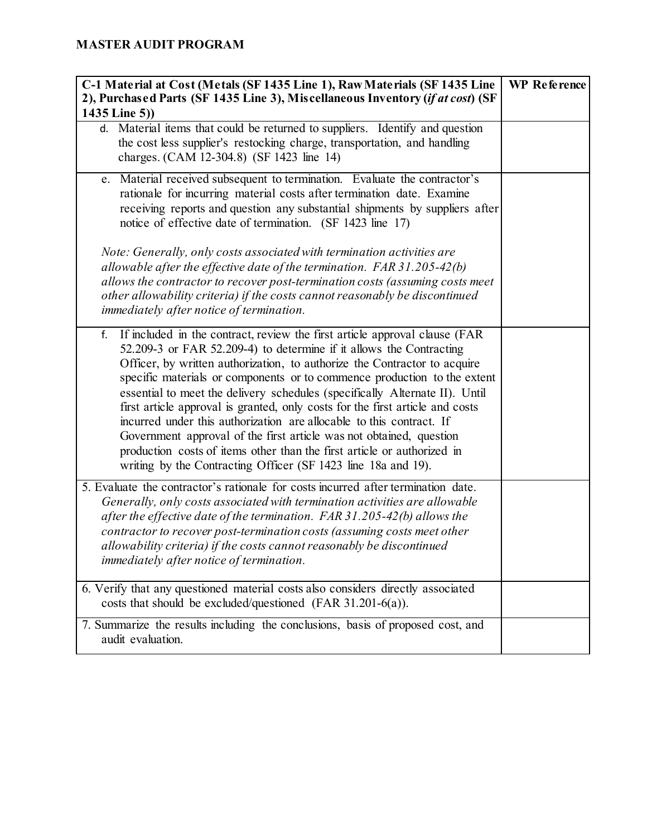| C-1 Material at Cost (Metals (SF 1435 Line 1), Raw Materials (SF 1435 Line<br>2), Purchased Parts (SF 1435 Line 3), Miscellaneous Inventory (if at cost) (SF<br>1435 Line 5))                                                                                                                                                                                                                                                                                                                                                                                                                                                                                                                                                                                               | <b>WP</b> Reference |
|-----------------------------------------------------------------------------------------------------------------------------------------------------------------------------------------------------------------------------------------------------------------------------------------------------------------------------------------------------------------------------------------------------------------------------------------------------------------------------------------------------------------------------------------------------------------------------------------------------------------------------------------------------------------------------------------------------------------------------------------------------------------------------|---------------------|
| d. Material items that could be returned to suppliers. Identify and question<br>the cost less supplier's restocking charge, transportation, and handling<br>charges. (CAM 12-304.8) (SF 1423 line 14)                                                                                                                                                                                                                                                                                                                                                                                                                                                                                                                                                                       |                     |
| e. Material received subsequent to termination. Evaluate the contractor's<br>rationale for incurring material costs after termination date. Examine<br>receiving reports and question any substantial shipments by suppliers after<br>notice of effective date of termination. (SF 1423 line 17)                                                                                                                                                                                                                                                                                                                                                                                                                                                                            |                     |
| Note: Generally, only costs associated with termination activities are<br>allowable after the effective date of the termination. $FAR 31.205-42(b)$<br>allows the contractor to recover post-termination costs (assuming costs meet<br>other allowability criteria) if the costs cannot reasonably be discontinued<br><i>immediately after notice of termination.</i>                                                                                                                                                                                                                                                                                                                                                                                                       |                     |
| If included in the contract, review the first article approval clause (FAR<br>f.<br>52.209-3 or FAR 52.209-4) to determine if it allows the Contracting<br>Officer, by written authorization, to authorize the Contractor to acquire<br>specific materials or components or to commence production to the extent<br>essential to meet the delivery schedules (specifically Alternate II). Until<br>first article approval is granted, only costs for the first article and costs<br>incurred under this authorization are allocable to this contract. If<br>Government approval of the first article was not obtained, question<br>production costs of items other than the first article or authorized in<br>writing by the Contracting Officer (SF 1423 line 18a and 19). |                     |
| 5. Evaluate the contractor's rationale for costs incurred after termination date.<br>Generally, only costs associated with termination activities are allowable<br>after the effective date of the termination. $FAR 31.205-42(b)$ allows the<br>contractor to recover post-termination costs (assuming costs meet other<br>allowability criteria) if the costs cannot reasonably be discontinued<br>immediately after notice of termination.                                                                                                                                                                                                                                                                                                                               |                     |
| 6. Verify that any questioned material costs also considers directly associated<br>costs that should be excluded/questioned (FAR $31.201-6(a)$ ).                                                                                                                                                                                                                                                                                                                                                                                                                                                                                                                                                                                                                           |                     |
| 7. Summarize the results including the conclusions, basis of proposed cost, and<br>audit evaluation.                                                                                                                                                                                                                                                                                                                                                                                                                                                                                                                                                                                                                                                                        |                     |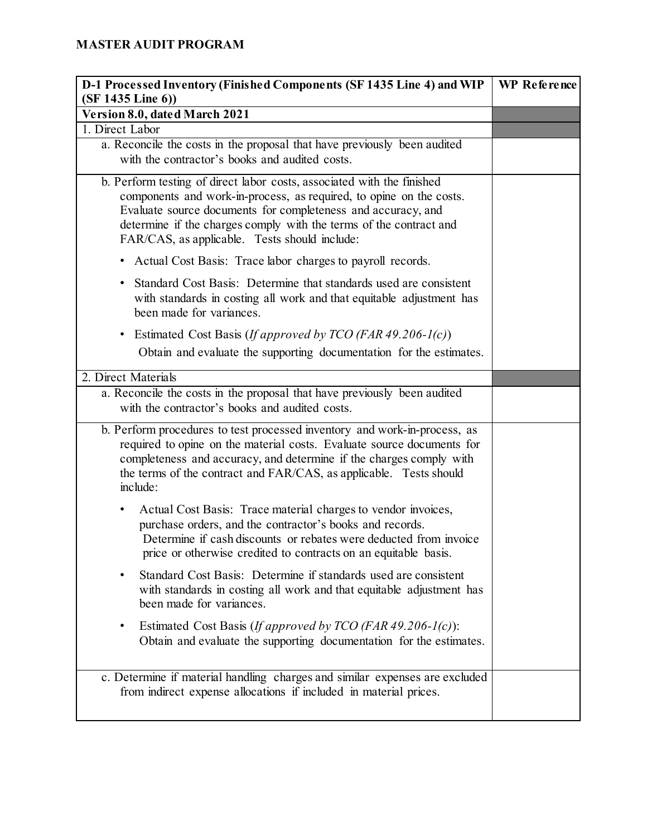| D-1 Processed Inventory (Finished Components (SF 1435 Line 4) and WIP<br>$(SF 1435$ Line 6))                                                                                                                                                                                                                                         | WP Reference |
|--------------------------------------------------------------------------------------------------------------------------------------------------------------------------------------------------------------------------------------------------------------------------------------------------------------------------------------|--------------|
| Version 8.0, dated March 2021                                                                                                                                                                                                                                                                                                        |              |
| 1. Direct Labor                                                                                                                                                                                                                                                                                                                      |              |
| a. Reconcile the costs in the proposal that have previously been audited<br>with the contractor's books and audited costs.                                                                                                                                                                                                           |              |
| b. Perform testing of direct labor costs, associated with the finished<br>components and work-in-process, as required, to opine on the costs.<br>Evaluate source documents for completeness and accuracy, and<br>determine if the charges comply with the terms of the contract and<br>FAR/CAS, as applicable. Tests should include: |              |
| • Actual Cost Basis: Trace labor charges to payroll records.                                                                                                                                                                                                                                                                         |              |
| Standard Cost Basis: Determine that standards used are consistent<br>$\bullet$<br>with standards in costing all work and that equitable adjustment has<br>been made for variances.                                                                                                                                                   |              |
| Estimated Cost Basis (If approved by TCO (FAR 49.206-1(c))<br>٠<br>Obtain and evaluate the supporting documentation for the estimates.                                                                                                                                                                                               |              |
| 2. Direct Materials                                                                                                                                                                                                                                                                                                                  |              |
| a. Reconcile the costs in the proposal that have previously been audited<br>with the contractor's books and audited costs.                                                                                                                                                                                                           |              |
| b. Perform procedures to test processed inventory and work-in-process, as<br>required to opine on the material costs. Evaluate source documents for<br>completeness and accuracy, and determine if the charges comply with<br>the terms of the contract and FAR/CAS, as applicable. Tests should<br>include:                         |              |
| Actual Cost Basis: Trace material charges to vendor invoices,<br>purchase orders, and the contractor's books and records.<br>Determine if cash discounts or rebates were deducted from invoice<br>price or otherwise credited to contracts on an equitable basis.                                                                    |              |
| Standard Cost Basis: Determine if standards used are consistent<br>with standards in costing all work and that equitable adjustment has<br>been made for variances.                                                                                                                                                                  |              |
| Estimated Cost Basis ( <i>If approved by TCO</i> ( <i>FAR</i> 49.206- $I(c)$ ):<br>٠<br>Obtain and evaluate the supporting documentation for the estimates.                                                                                                                                                                          |              |
| c. Determine if material handling charges and similar expenses are excluded<br>from indirect expense allocations if included in material prices.                                                                                                                                                                                     |              |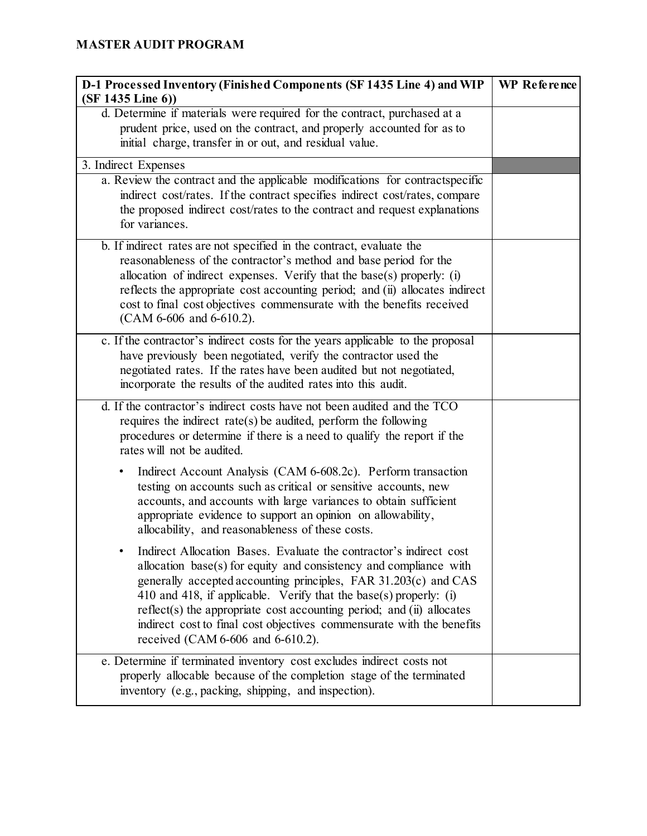| D-1 Processed Inventory (Finished Components (SF 1435 Line 4) and WIP<br>$(SF 1435$ Line 6))                                                                                                                                                                                                                                                                                                                                                                                  | WP Reference |
|-------------------------------------------------------------------------------------------------------------------------------------------------------------------------------------------------------------------------------------------------------------------------------------------------------------------------------------------------------------------------------------------------------------------------------------------------------------------------------|--------------|
| d. Determine if materials were required for the contract, purchased at a<br>prudent price, used on the contract, and properly accounted for as to<br>initial charge, transfer in or out, and residual value.                                                                                                                                                                                                                                                                  |              |
| 3. Indirect Expenses                                                                                                                                                                                                                                                                                                                                                                                                                                                          |              |
| a. Review the contract and the applicable modifications for contractspecific<br>indirect cost/rates. If the contract specifies indirect cost/rates, compare<br>the proposed indirect cost/rates to the contract and request explanations<br>for variances.                                                                                                                                                                                                                    |              |
| b. If indirect rates are not specified in the contract, evaluate the<br>reasonableness of the contractor's method and base period for the<br>allocation of indirect expenses. Verify that the base(s) properly: $(i)$<br>reflects the appropriate cost accounting period; and (ii) allocates indirect<br>cost to final cost objectives commensurate with the benefits received<br>$(CAM 6-606$ and $6-610.2$ ).                                                               |              |
| c. If the contractor's indirect costs for the years applicable to the proposal<br>have previously been negotiated, verify the contractor used the<br>negotiated rates. If the rates have been audited but not negotiated,<br>incorporate the results of the audited rates into this audit.                                                                                                                                                                                    |              |
| d. If the contractor's indirect costs have not been audited and the TCO<br>requires the indirect rate(s) be audited, perform the following<br>procedures or determine if there is a need to qualify the report if the<br>rates will not be audited.                                                                                                                                                                                                                           |              |
| Indirect Account Analysis (CAM 6-608.2c). Perform transaction<br>٠<br>testing on accounts such as critical or sensitive accounts, new<br>accounts, and accounts with large variances to obtain sufficient<br>appropriate evidence to support an opinion on allowability,<br>allocability, and reasonableness of these costs.                                                                                                                                                  |              |
| Indirect Allocation Bases. Evaluate the contractor's indirect cost<br>allocation base(s) for equity and consistency and compliance with<br>generally accepted accounting principles, FAR 31.203(c) and CAS<br>410 and 418, if applicable. Verify that the base(s) properly: (i)<br>reflect(s) the appropriate cost accounting period; and $(ii)$ allocates<br>indirect cost to final cost objectives commensurate with the benefits<br>received $(CAM 6-606$ and $6-610.2$ ). |              |
| e. Determine if terminated inventory cost excludes indirect costs not<br>properly allocable because of the completion stage of the terminated<br>inventory (e.g., packing, shipping, and inspection).                                                                                                                                                                                                                                                                         |              |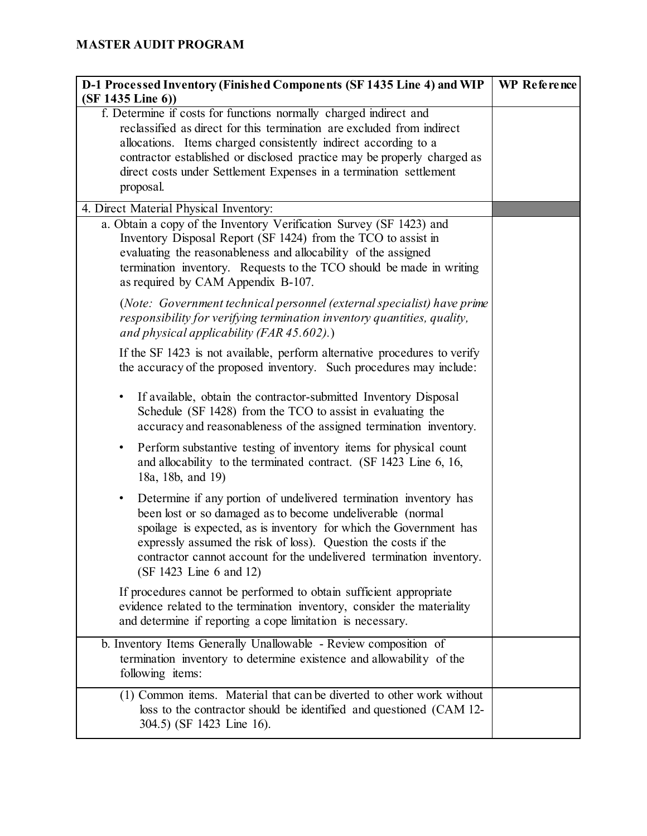| D-1 Processed Inventory (Finished Components (SF 1435 Line 4) and WIP<br>$(SF 1435$ Line 6))                                                                                                                                                                                                                                                                                    | WP Reference |
|---------------------------------------------------------------------------------------------------------------------------------------------------------------------------------------------------------------------------------------------------------------------------------------------------------------------------------------------------------------------------------|--------------|
| f. Determine if costs for functions normally charged indirect and<br>reclassified as direct for this termination are excluded from indirect<br>allocations. Items charged consistently indirect according to a<br>contractor established or disclosed practice may be properly charged as<br>direct costs under Settlement Expenses in a termination settlement<br>proposal.    |              |
| 4. Direct Material Physical Inventory:                                                                                                                                                                                                                                                                                                                                          |              |
| a. Obtain a copy of the Inventory Verification Survey (SF 1423) and<br>Inventory Disposal Report (SF 1424) from the TCO to assist in<br>evaluating the reasonableness and allocability of the assigned<br>termination inventory. Requests to the TCO should be made in writing<br>as required by CAM Appendix B-107.                                                            |              |
| (Note: Government technical personnel (external specialist) have prime<br>responsibility for verifying termination inventory quantities, quality,<br>and physical applicability (FAR $45.602$ ).)                                                                                                                                                                               |              |
| If the SF 1423 is not available, perform alternative procedures to verify<br>the accuracy of the proposed inventory. Such procedures may include:                                                                                                                                                                                                                               |              |
| If available, obtain the contractor-submitted Inventory Disposal<br>٠<br>Schedule (SF 1428) from the TCO to assist in evaluating the<br>accuracy and reasonableness of the assigned termination inventory.                                                                                                                                                                      |              |
| Perform substantive testing of inventory items for physical count<br>٠<br>and allocability to the terminated contract. (SF 1423 Line 6, 16,<br>18a, 18b, and 19)                                                                                                                                                                                                                |              |
| Determine if any portion of undelivered termination inventory has<br>٠<br>been lost or so damaged as to become undeliverable (normal<br>spoilage is expected, as is inventory for which the Government has<br>expressly assumed the risk of loss). Question the costs if the<br>contractor cannot account for the undelivered termination inventory.<br>(SF 1423 Line 6 and 12) |              |
| If procedures cannot be performed to obtain sufficient appropriate<br>evidence related to the termination inventory, consider the materiality<br>and determine if reporting a cope limitation is necessary.                                                                                                                                                                     |              |
| b. Inventory Items Generally Unallowable - Review composition of<br>termination inventory to determine existence and allowability of the<br>following items:                                                                                                                                                                                                                    |              |
| (1) Common items. Material that can be diverted to other work without<br>loss to the contractor should be identified and questioned (CAM 12-<br>304.5) (SF 1423 Line 16).                                                                                                                                                                                                       |              |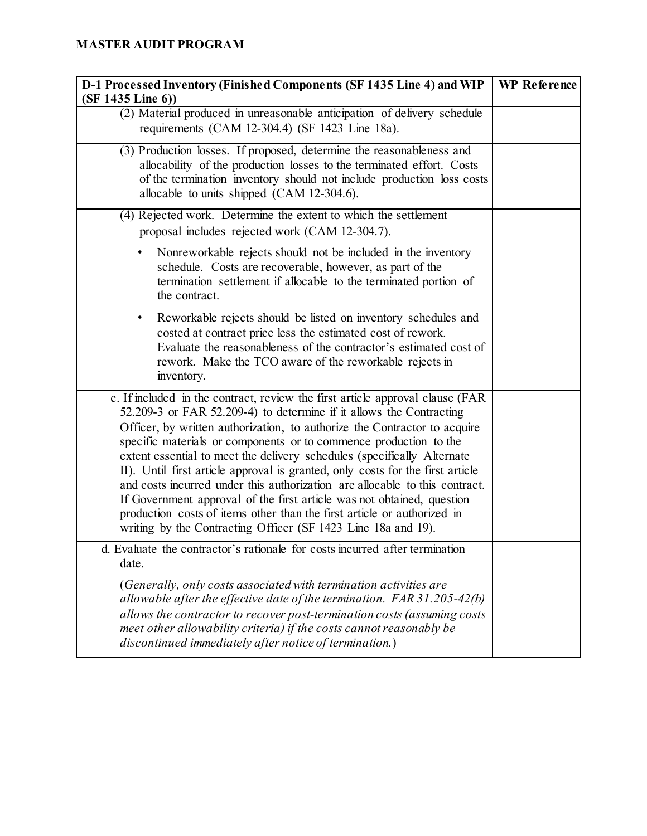| D-1 Processed Inventory (Finished Components (SF 1435 Line 4) and WIP<br>(SF 1435 Line 6))                                                                                                                                                                                                                                                                                                                                                                                                                                                                                                                                                                                                                                                                               | WP Reference |
|--------------------------------------------------------------------------------------------------------------------------------------------------------------------------------------------------------------------------------------------------------------------------------------------------------------------------------------------------------------------------------------------------------------------------------------------------------------------------------------------------------------------------------------------------------------------------------------------------------------------------------------------------------------------------------------------------------------------------------------------------------------------------|--------------|
| (2) Material produced in unreasonable anticipation of delivery schedule<br>requirements (CAM 12-304.4) (SF 1423 Line 18a).                                                                                                                                                                                                                                                                                                                                                                                                                                                                                                                                                                                                                                               |              |
| (3) Production losses. If proposed, determine the reasonableness and<br>allocability of the production losses to the terminated effort. Costs<br>of the termination inventory should not include production loss costs<br>allocable to units shipped (CAM 12-304.6).                                                                                                                                                                                                                                                                                                                                                                                                                                                                                                     |              |
| (4) Rejected work. Determine the extent to which the settlement<br>proposal includes rejected work (CAM 12-304.7).                                                                                                                                                                                                                                                                                                                                                                                                                                                                                                                                                                                                                                                       |              |
| Nonreworkable rejects should not be included in the inventory<br>schedule. Costs are recoverable, however, as part of the<br>termination settlement if allocable to the terminated portion of<br>the contract.                                                                                                                                                                                                                                                                                                                                                                                                                                                                                                                                                           |              |
| Reworkable rejects should be listed on inventory schedules and<br>$\bullet$<br>costed at contract price less the estimated cost of rework.<br>Evaluate the reasonableness of the contractor's estimated cost of<br>rework. Make the TCO aware of the reworkable rejects in<br>inventory.                                                                                                                                                                                                                                                                                                                                                                                                                                                                                 |              |
| c. If included in the contract, review the first article approval clause (FAR<br>52.209-3 or FAR 52.209-4) to determine if it allows the Contracting<br>Officer, by written authorization, to authorize the Contractor to acquire<br>specific materials or components or to commence production to the<br>extent essential to meet the delivery schedules (specifically Alternate<br>II). Until first article approval is granted, only costs for the first article<br>and costs incurred under this authorization are allocable to this contract.<br>If Government approval of the first article was not obtained, question<br>production costs of items other than the first article or authorized in<br>writing by the Contracting Officer (SF 1423 Line 18a and 19). |              |
| d. Evaluate the contractor's rationale for costs incurred after termination<br>date.                                                                                                                                                                                                                                                                                                                                                                                                                                                                                                                                                                                                                                                                                     |              |
| (Generally, only costs associated with termination activities are<br>allowable after the effective date of the termination. $FAR 31.205-42(b)$<br>allows the contractor to recover post-termination costs (assuming costs<br>meet other allowability criteria) if the costs cannot reasonably be<br>discontinued immediately after notice of termination.)                                                                                                                                                                                                                                                                                                                                                                                                               |              |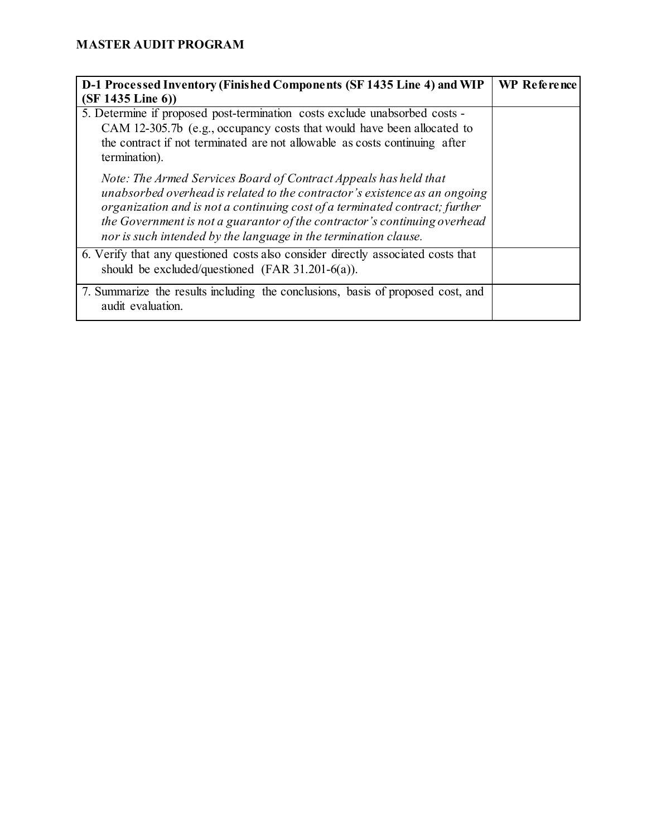| D-1 Processed Inventory (Finished Components (SF 1435 Line 4) and WIP                                                                                                                                                                                                                                                                                                         | WP Reference |
|-------------------------------------------------------------------------------------------------------------------------------------------------------------------------------------------------------------------------------------------------------------------------------------------------------------------------------------------------------------------------------|--------------|
| $(SF 1435$ Line 6))                                                                                                                                                                                                                                                                                                                                                           |              |
| 5. Determine if proposed post-termination costs exclude unabsorbed costs -<br>CAM 12-305.7b (e.g., occupancy costs that would have been allocated to                                                                                                                                                                                                                          |              |
| the contract if not terminated are not allowable as costs continuing after<br>termination).                                                                                                                                                                                                                                                                                   |              |
| Note: The Armed Services Board of Contract Appeals has held that<br>unabsorbed overhead is related to the contractor's existence as an ongoing<br>organization and is not a continuing cost of a terminated contract; further<br>the Government is not a guarantor of the contractor's continuing overhead<br>nor is such intended by the language in the termination clause. |              |
| 6. Verify that any questioned costs also consider directly associated costs that<br>should be excluded/questioned (FAR $31.201-6(a)$ ).                                                                                                                                                                                                                                       |              |
| 7. Summarize the results including the conclusions, basis of proposed cost, and<br>audit evaluation.                                                                                                                                                                                                                                                                          |              |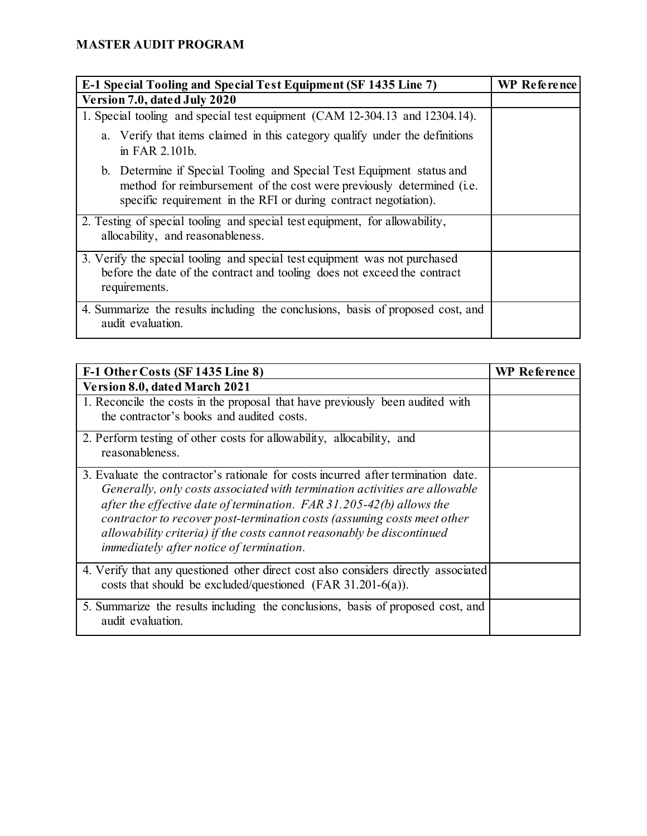| E-1 Special Tooling and Special Test Equipment (SF 1435 Line 7)                                                                                                                                                            | <b>WP</b> Reference |
|----------------------------------------------------------------------------------------------------------------------------------------------------------------------------------------------------------------------------|---------------------|
| Version 7.0, dated July 2020                                                                                                                                                                                               |                     |
| 1. Special tooling and special test equipment (CAM 12-304.13 and 12304.14).                                                                                                                                                |                     |
| a. Verify that items claimed in this category qualify under the definitions<br>in FAR 2.101b.                                                                                                                              |                     |
| b. Determine if Special Tooling and Special Test Equipment status and<br>method for reimbursement of the cost were previously determined ( <i>i.e.</i><br>specific requirement in the RFI or during contract negotiation). |                     |
| 2. Testing of special tooling and special test equipment, for allowability,<br>allocability, and reasonableness.                                                                                                           |                     |
| 3. Verify the special tooling and special test equipment was not purchased<br>before the date of the contract and tooling does not exceed the contract<br>requirements.                                                    |                     |
| 4. Summarize the results including the conclusions, basis of proposed cost, and<br>audit evaluation.                                                                                                                       |                     |

| F-1 Other Costs (SF 1435 Line 8)                                                                                                                                                                                                                                                                                                                                                                                                          | <b>WP Reference</b> |
|-------------------------------------------------------------------------------------------------------------------------------------------------------------------------------------------------------------------------------------------------------------------------------------------------------------------------------------------------------------------------------------------------------------------------------------------|---------------------|
| Version 8.0, dated March 2021                                                                                                                                                                                                                                                                                                                                                                                                             |                     |
| 1. Reconcile the costs in the proposal that have previously been audited with<br>the contractor's books and audited costs.                                                                                                                                                                                                                                                                                                                |                     |
| 2. Perform testing of other costs for allowability, allocability, and<br>reasonableness.                                                                                                                                                                                                                                                                                                                                                  |                     |
| 3. Evaluate the contractor's rationale for costs incurred after termination date.<br>Generally, only costs associated with termination activities are allowable<br>after the effective date of termination. FAR $31.205-42(b)$ allows the<br>contractor to recover post-termination costs (assuming costs meet other<br>allowability criteria) if the costs cannot reasonably be discontinued<br>immediately after notice of termination. |                     |
| 4. Verify that any questioned other direct cost also considers directly associated<br>costs that should be excluded/questioned (FAR $31.201-6(a)$ ).                                                                                                                                                                                                                                                                                      |                     |
| 5. Summarize the results including the conclusions, basis of proposed cost, and<br>audit evaluation.                                                                                                                                                                                                                                                                                                                                      |                     |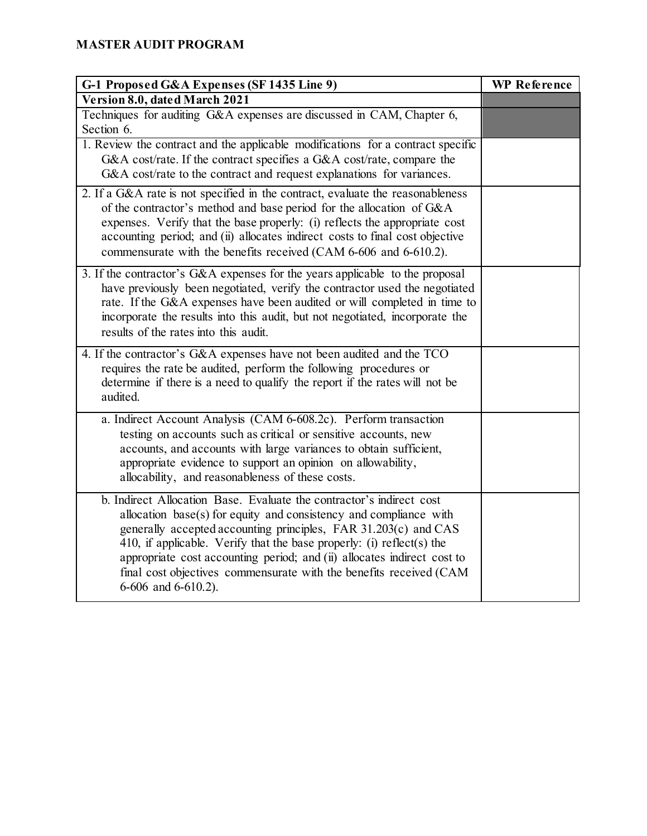| G-1 Proposed G&A Expenses (SF 1435 Line 9)                                      | <b>WP</b> Reference |
|---------------------------------------------------------------------------------|---------------------|
| Version 8.0, dated March 2021                                                   |                     |
| Techniques for auditing G&A expenses are discussed in CAM, Chapter 6,           |                     |
| Section 6.                                                                      |                     |
| 1. Review the contract and the applicable modifications for a contract specific |                     |
| G&A cost/rate. If the contract specifies a G&A cost/rate, compare the           |                     |
| G&A cost/rate to the contract and request explanations for variances.           |                     |
| 2. If a G&A rate is not specified in the contract, evaluate the reasonableness  |                     |
| of the contractor's method and base period for the allocation of G&A            |                     |
| expenses. Verify that the base properly: (i) reflects the appropriate cost      |                     |
| accounting period; and (ii) allocates indirect costs to final cost objective    |                     |
| commensurate with the benefits received (CAM 6-606 and 6-610.2).                |                     |
| 3. If the contractor's G&A expenses for the years applicable to the proposal    |                     |
| have previously been negotiated, verify the contractor used the negotiated      |                     |
| rate. If the G&A expenses have been audited or will completed in time to        |                     |
| incorporate the results into this audit, but not negotiated, incorporate the    |                     |
| results of the rates into this audit.                                           |                     |
| 4. If the contractor's G&A expenses have not been audited and the TCO           |                     |
| requires the rate be audited, perform the following procedures or               |                     |
| determine if there is a need to qualify the report if the rates will not be     |                     |
| audited.                                                                        |                     |
| a. Indirect Account Analysis (CAM 6-608.2c). Perform transaction                |                     |
| testing on accounts such as critical or sensitive accounts, new                 |                     |
| accounts, and accounts with large variances to obtain sufficient,               |                     |
| appropriate evidence to support an opinion on allowability,                     |                     |
| allocability, and reasonableness of these costs.                                |                     |
| b. Indirect Allocation Base. Evaluate the contractor's indirect cost            |                     |
| allocation base(s) for equity and consistency and compliance with               |                     |
| generally accepted accounting principles, FAR 31.203(c) and CAS                 |                     |
| 410, if applicable. Verify that the base properly: (i) reflect(s) the           |                     |
| appropriate cost accounting period; and (ii) allocates indirect cost to         |                     |
| final cost objectives commensurate with the benefits received (CAM              |                     |
| 6-606 and 6-610.2).                                                             |                     |
|                                                                                 |                     |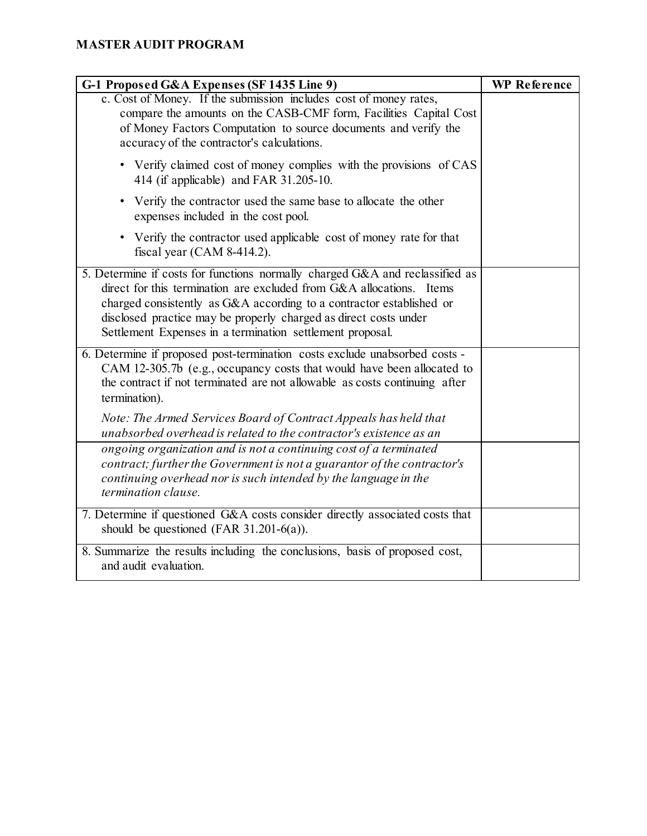| G-1 Proposed G&A Expenses (SF 1435 Line 9)                                                                                                                                                                                                                                                                                                                    | <b>WP Reference</b> |
|---------------------------------------------------------------------------------------------------------------------------------------------------------------------------------------------------------------------------------------------------------------------------------------------------------------------------------------------------------------|---------------------|
| c. Cost of Money. If the submission includes cost of money rates,<br>compare the amounts on the CASB-CMF form, Facilities Capital Cost<br>of Money Factors Computation to source documents and verify the<br>accuracy of the contractor's calculations.                                                                                                       |                     |
| • Verify claimed cost of money complies with the provisions of CAS<br>414 (if applicable) and FAR 31.205-10.                                                                                                                                                                                                                                                  |                     |
| • Verify the contractor used the same base to allocate the other<br>expenses included in the cost pool.                                                                                                                                                                                                                                                       |                     |
| • Verify the contractor used applicable cost of money rate for that<br>fiscal year $(CAM 8-414.2)$ .                                                                                                                                                                                                                                                          |                     |
| 5. Determine if costs for functions normally charged G&A and reclassified as<br>direct for this termination are excluded from G&A allocations. Items<br>charged consistently as G&A according to a contractor established or<br>disclosed practice may be properly charged as direct costs under<br>Settlement Expenses in a termination settlement proposal. |                     |
| 6. Determine if proposed post-termination costs exclude unabsorbed costs -<br>CAM 12-305.7b (e.g., occupancy costs that would have been allocated to<br>the contract if not terminated are not allowable as costs continuing after<br>termination).<br>Note: The Armed Services Board of Contract Appeals has held that                                       |                     |
| unabsorbed overhead is related to the contractor's existence as an<br>ongoing organization and is not a continuing cost of a terminated                                                                                                                                                                                                                       |                     |
| contract; further the Government is not a guarantor of the contractor's<br>continuing overhead nor is such intended by the language in the<br>termination clause.                                                                                                                                                                                             |                     |
| 7. Determine if questioned G&A costs consider directly associated costs that<br>should be questioned (FAR $31.201-6(a)$ ).                                                                                                                                                                                                                                    |                     |
| 8. Summarize the results including the conclusions, basis of proposed cost,<br>and audit evaluation.                                                                                                                                                                                                                                                          |                     |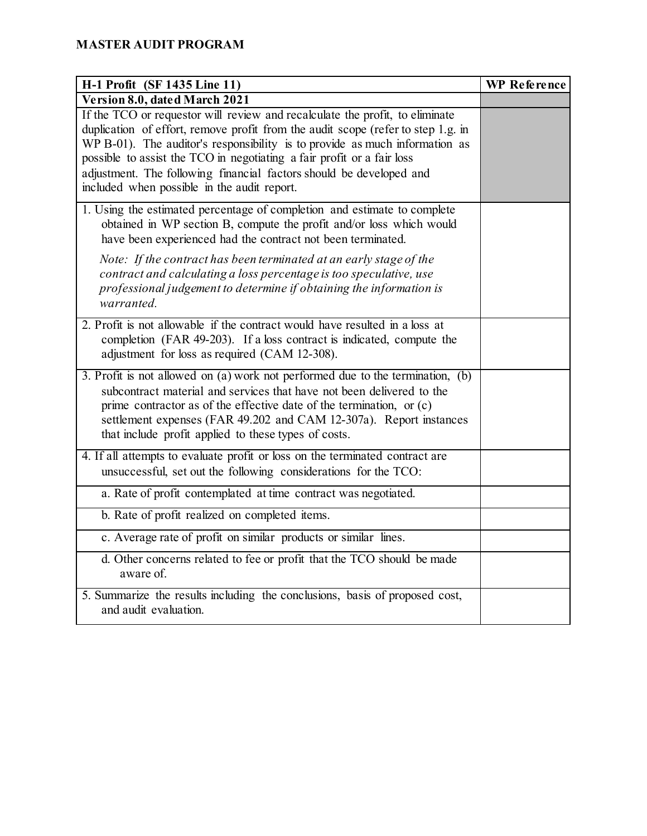| H-1 Profit (SF 1435 Line 11)                                                                                                                                                                                                                                                                                                                                                                                                                    | <b>WP</b> Reference |
|-------------------------------------------------------------------------------------------------------------------------------------------------------------------------------------------------------------------------------------------------------------------------------------------------------------------------------------------------------------------------------------------------------------------------------------------------|---------------------|
| Version 8.0, dated March 2021                                                                                                                                                                                                                                                                                                                                                                                                                   |                     |
| If the TCO or requestor will review and recalculate the profit, to eliminate<br>duplication of effort, remove profit from the audit scope (refer to step 1.g. in<br>WP B-01). The auditor's responsibility is to provide as much information as<br>possible to assist the TCO in negotiating a fair profit or a fair loss<br>adjustment. The following financial factors should be developed and<br>included when possible in the audit report. |                     |
| 1. Using the estimated percentage of completion and estimate to complete<br>obtained in WP section B, compute the profit and/or loss which would<br>have been experienced had the contract not been terminated.                                                                                                                                                                                                                                 |                     |
| Note: If the contract has been terminated at an early stage of the<br>contract and calculating a loss percentage is too speculative, use<br>professional judgement to determine if obtaining the information is<br>warranted.                                                                                                                                                                                                                   |                     |
| 2. Profit is not allowable if the contract would have resulted in a loss at<br>completion (FAR 49-203). If a loss contract is indicated, compute the<br>adjustment for loss as required (CAM 12-308).                                                                                                                                                                                                                                           |                     |
| 3. Profit is not allowed on (a) work not performed due to the termination, $(b)$<br>subcontract material and services that have not been delivered to the<br>prime contractor as of the effective date of the termination, or $(c)$<br>settlement expenses (FAR 49.202 and CAM 12-307a). Report instances<br>that include profit applied to these types of costs.                                                                               |                     |
| 4. If all attempts to evaluate profit or loss on the terminated contract are<br>unsuccessful, set out the following considerations for the TCO:                                                                                                                                                                                                                                                                                                 |                     |
| a. Rate of profit contemplated at time contract was negotiated.                                                                                                                                                                                                                                                                                                                                                                                 |                     |
| b. Rate of profit realized on completed items.                                                                                                                                                                                                                                                                                                                                                                                                  |                     |
| c. Average rate of profit on similar products or similar lines.                                                                                                                                                                                                                                                                                                                                                                                 |                     |
| d. Other concerns related to fee or profit that the TCO should be made<br>aware of.                                                                                                                                                                                                                                                                                                                                                             |                     |
| 5. Summarize the results including the conclusions, basis of proposed cost,<br>and audit evaluation.                                                                                                                                                                                                                                                                                                                                            |                     |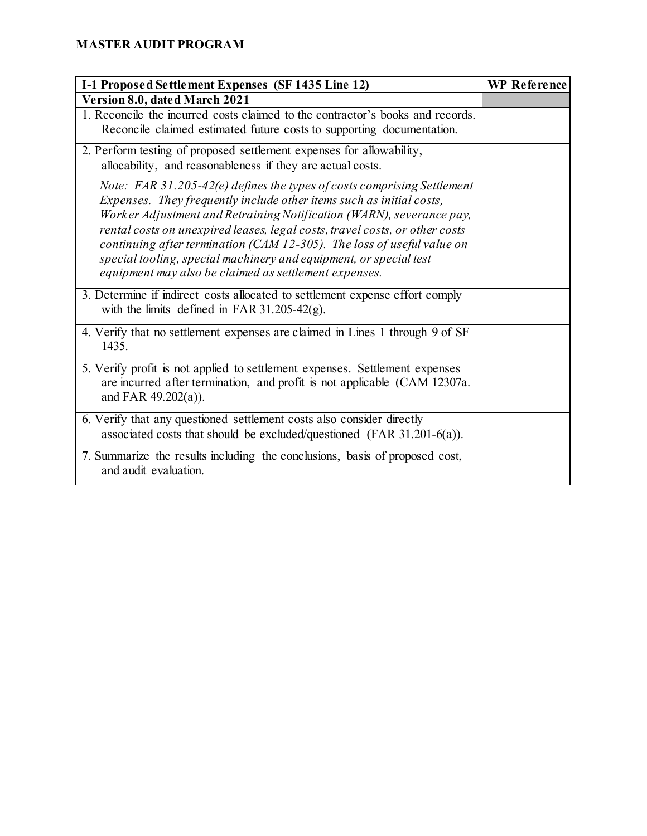| I-1 Proposed Settlement Expenses (SF 1435 Line 12)                                                                                                                                                                                                                                                                                                                                                                                                                                                             | <b>WP</b> Reference |
|----------------------------------------------------------------------------------------------------------------------------------------------------------------------------------------------------------------------------------------------------------------------------------------------------------------------------------------------------------------------------------------------------------------------------------------------------------------------------------------------------------------|---------------------|
| Version 8.0, dated March 2021                                                                                                                                                                                                                                                                                                                                                                                                                                                                                  |                     |
| 1. Reconcile the incurred costs claimed to the contractor's books and records.<br>Reconcile claimed estimated future costs to supporting documentation.                                                                                                                                                                                                                                                                                                                                                        |                     |
| 2. Perform testing of proposed settlement expenses for allowability,<br>allocability, and reasonableness if they are actual costs.                                                                                                                                                                                                                                                                                                                                                                             |                     |
| Note: FAR 31.205-42(e) defines the types of costs comprising Settlement<br>Expenses. They frequently include other items such as initial costs,<br>Worker Adjustment and Retraining Notification (WARN), severance pay,<br>rental costs on unexpired leases, legal costs, travel costs, or other costs<br>continuing after termination (CAM 12-305). The loss of useful value on<br>special tooling, special machinery and equipment, or special test<br>equipment may also be claimed as settlement expenses. |                     |
| 3. Determine if indirect costs allocated to settlement expense effort comply<br>with the limits defined in FAR 31.205-42 $(g)$ .                                                                                                                                                                                                                                                                                                                                                                               |                     |
| 4. Verify that no settlement expenses are claimed in Lines 1 through 9 of SF<br>1435.                                                                                                                                                                                                                                                                                                                                                                                                                          |                     |
| 5. Verify profit is not applied to settlement expenses. Settlement expenses<br>are incurred after termination, and profit is not applicable (CAM 12307a.<br>and FAR $49.202(a)$ ).                                                                                                                                                                                                                                                                                                                             |                     |
| 6. Verify that any questioned settlement costs also consider directly<br>associated costs that should be excluded/questioned (FAR 31.201-6(a)).                                                                                                                                                                                                                                                                                                                                                                |                     |
| 7. Summarize the results including the conclusions, basis of proposed cost,<br>and audit evaluation.                                                                                                                                                                                                                                                                                                                                                                                                           |                     |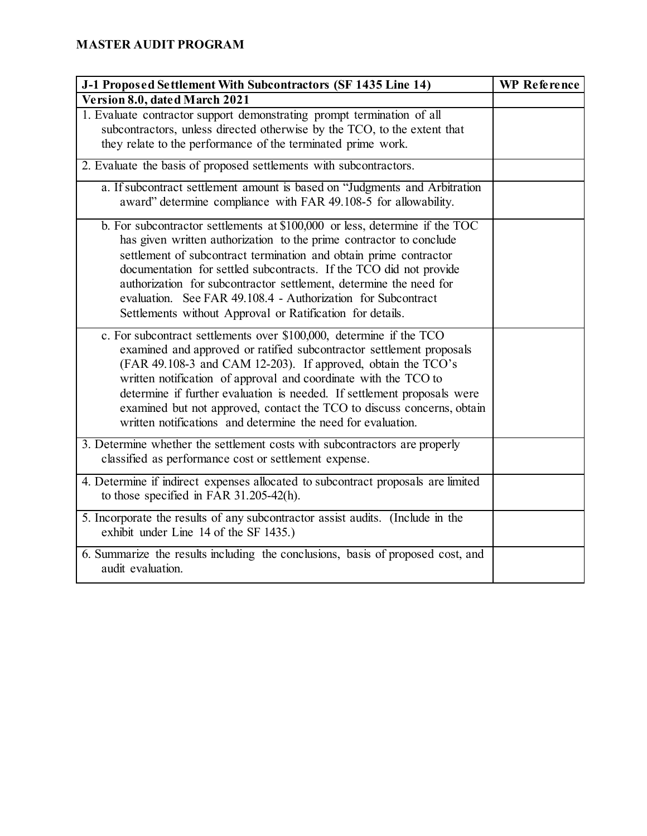| J-1 Proposed Settlement With Subcontractors (SF 1435 Line 14)                                                                                                                                                                                                                                                                                                                                                                                                                                       | <b>WP</b> Reference |
|-----------------------------------------------------------------------------------------------------------------------------------------------------------------------------------------------------------------------------------------------------------------------------------------------------------------------------------------------------------------------------------------------------------------------------------------------------------------------------------------------------|---------------------|
| Version 8.0, dated March 2021                                                                                                                                                                                                                                                                                                                                                                                                                                                                       |                     |
| 1. Evaluate contractor support demonstrating prompt termination of all<br>subcontractors, unless directed otherwise by the TCO, to the extent that<br>they relate to the performance of the terminated prime work.                                                                                                                                                                                                                                                                                  |                     |
| 2. Evaluate the basis of proposed settlements with subcontractors.                                                                                                                                                                                                                                                                                                                                                                                                                                  |                     |
| a. If subcontract settlement amount is based on "Judgments and Arbitration<br>award" determine compliance with FAR 49.108-5 for allowability.                                                                                                                                                                                                                                                                                                                                                       |                     |
| b. For subcontractor settlements at \$100,000 or less, determine if the TOC<br>has given written authorization to the prime contractor to conclude<br>settlement of subcontract termination and obtain prime contractor<br>documentation for settled subcontracts. If the TCO did not provide<br>authorization for subcontractor settlement, determine the need for<br>evaluation. See FAR 49.108.4 - Authorization for Subcontract<br>Settlements without Approval or Ratification for details.    |                     |
| c. For subcontract settlements over \$100,000, determine if the TCO<br>examined and approved or ratified subcontractor settlement proposals<br>(FAR 49.108-3 and CAM 12-203). If approved, obtain the TCO's<br>written notification of approval and coordinate with the TCO to<br>determine if further evaluation is needed. If settlement proposals were<br>examined but not approved, contact the TCO to discuss concerns, obtain<br>written notifications and determine the need for evaluation. |                     |
| 3. Determine whether the settlement costs with subcontractors are properly<br>classified as performance cost or settlement expense.                                                                                                                                                                                                                                                                                                                                                                 |                     |
| 4. Determine if indirect expenses allocated to subcontract proposals are limited<br>to those specified in FAR 31.205-42(h).                                                                                                                                                                                                                                                                                                                                                                         |                     |
| 5. Incorporate the results of any subcontractor assist audits. (Include in the<br>exhibit under Line 14 of the SF 1435.)                                                                                                                                                                                                                                                                                                                                                                            |                     |
| 6. Summarize the results including the conclusions, basis of proposed cost, and<br>audit evaluation.                                                                                                                                                                                                                                                                                                                                                                                                |                     |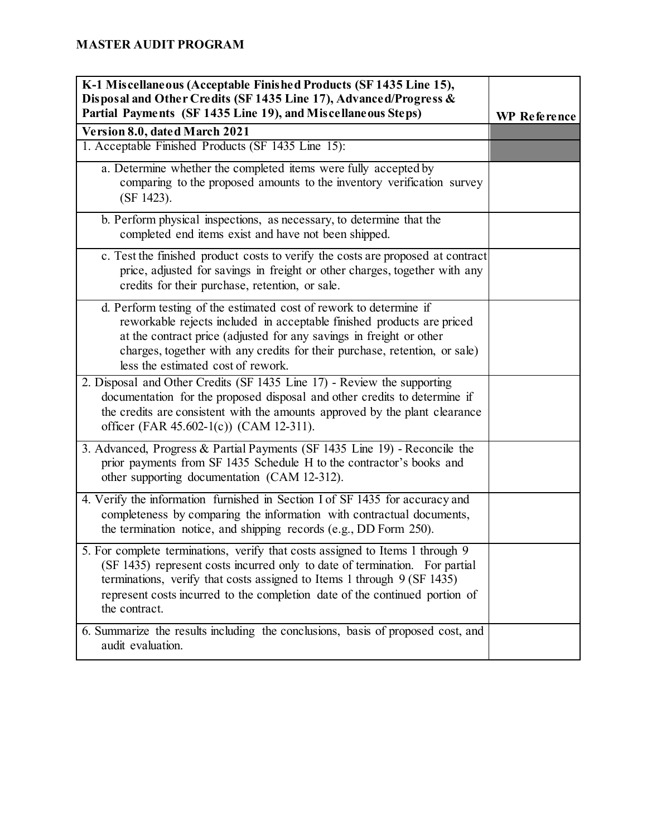| K-1 Miscellaneous (Acceptable Finished Products (SF 1435 Line 15),<br>Disposal and Other Credits (SF 1435 Line 17), Advanced/Progress &<br>Partial Payments (SF 1435 Line 19), and Miscellaneous Steps)                                                                                                                                 | <b>WP</b> Reference |
|-----------------------------------------------------------------------------------------------------------------------------------------------------------------------------------------------------------------------------------------------------------------------------------------------------------------------------------------|---------------------|
| Version 8.0, dated March 2021                                                                                                                                                                                                                                                                                                           |                     |
| 1. Acceptable Finished Products (SF 1435 Line 15):                                                                                                                                                                                                                                                                                      |                     |
| a. Determine whether the completed items were fully accepted by<br>comparing to the proposed amounts to the inventory verification survey<br>(SF 1423).                                                                                                                                                                                 |                     |
| b. Perform physical inspections, as necessary, to determine that the<br>completed end items exist and have not been shipped.                                                                                                                                                                                                            |                     |
| c. Test the finished product costs to verify the costs are proposed at contract<br>price, adjusted for savings in freight or other charges, together with any<br>credits for their purchase, retention, or sale.                                                                                                                        |                     |
| d. Perform testing of the estimated cost of rework to determine if<br>reworkable rejects included in acceptable finished products are priced<br>at the contract price (adjusted for any savings in freight or other<br>charges, together with any credits for their purchase, retention, or sale)<br>less the estimated cost of rework. |                     |
| 2. Disposal and Other Credits (SF 1435 Line 17) - Review the supporting<br>documentation for the proposed disposal and other credits to determine if<br>the credits are consistent with the amounts approved by the plant clearance<br>officer (FAR 45.602-1(c)) (CAM 12-311).                                                          |                     |
| 3. Advanced, Progress & Partial Payments (SF 1435 Line 19) - Reconcile the<br>prior payments from SF 1435 Schedule H to the contractor's books and<br>other supporting documentation (CAM 12-312).                                                                                                                                      |                     |
| 4. Verify the information furnished in Section I of SF 1435 for accuracy and<br>completeness by comparing the information with contractual documents,<br>the termination notice, and shipping records (e.g., DD Form 250).                                                                                                              |                     |
| 5. For complete terminations, verify that costs assigned to Items 1 through 9<br>(SF 1435) represent costs incurred only to date of termination. For partial<br>terminations, verify that costs assigned to Items 1 through 9 (SF 1435)<br>represent costs incurred to the completion date of the continued portion of<br>the contract. |                     |
| 6. Summarize the results including the conclusions, basis of proposed cost, and<br>audit evaluation.                                                                                                                                                                                                                                    |                     |